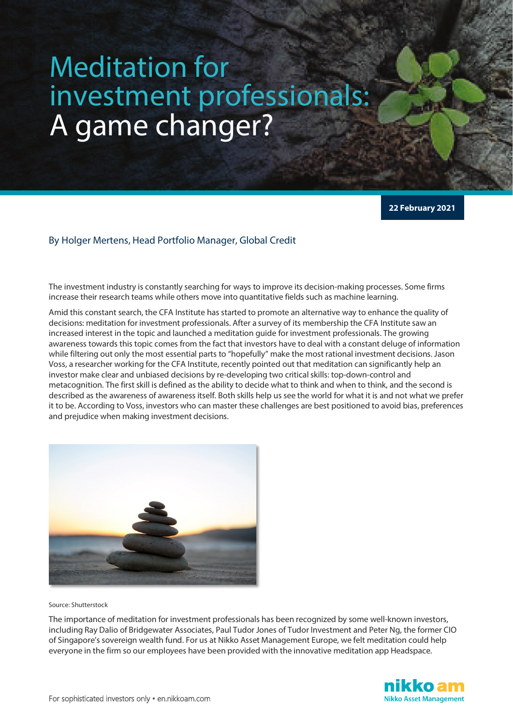## Meditation for investment professionals: A game changer?

**22 February 2021**

## By Holger Mertens, Head Portfolio Manager, Global Credit

The investment industry is constantly searching for ways to improve its decision-making processes. Some firms increase their research teams while others move into quantitative fields such as machine learning.

Amid this constant search, the CFA Institute has started to promote an alternative way to enhance the quality of decisions: meditation for investment professionals. After a survey of its membership the CFA Institute saw an increased interest in the topic and launched a meditation guide for investment professionals. The growing awareness towards this topic comes from the fact that investors have to deal with a constant deluge of information while filtering out only the most essential parts to "hopefully" make the most rational investment decisions. Jason Voss, a researcher working for the CFA Institute, recently pointed out that meditation can significantly help an investor make clear and unbiased decisions by re-developing two critical skills: top-down-control and metacognition. The first skill is defined as the ability to decide what to think and when to think, and the second is described as the awareness of awareness itself. Both skills help us see the world for what it is and not what we prefer it to be. According to Voss, investors who can master these challenges are best positioned to avoid bias, preferences and prejudice when making investment decisions.



Source: Shutterstock

The importance of meditation for investment professionals has been recognized by some well-known investors, including Ray Dalio of Bridgewater Associates, Paul Tudor Jones of Tudor Investment and Peter Ng, the former CIO of Singapore's sovereign wealth fund. For us at Nikko Asset Management Europe, we felt meditation could help everyone in the firm so our employees have been provided with the innovative meditation app Headspace.

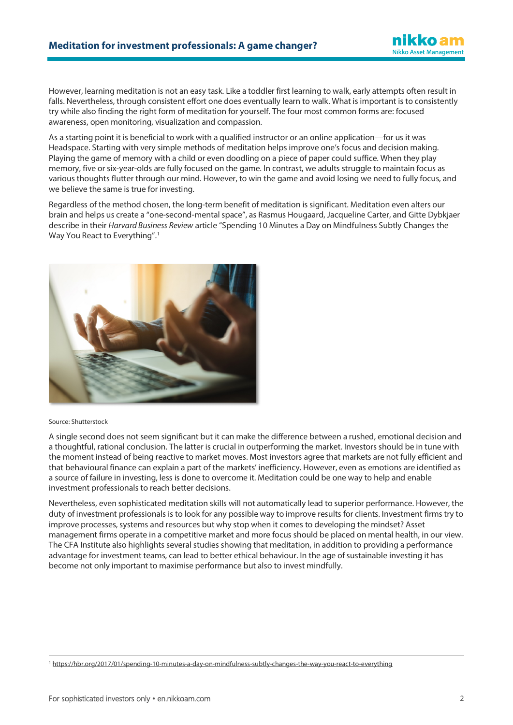However, learning meditation is not an easy task. Like a toddler first learning to walk, early attempts often result in falls. Nevertheless, through consistent effort one does eventually learn to walk. What is important is to consistently try while also finding the right form of meditation for yourself. The four most common forms are: focused awareness, open monitoring, visualization and compassion.

As a starting point it is beneficial to work with a qualified instructor or an online application—for us it was Headspace. Starting with very simple methods of meditation helps improve one's focus and decision making. Playing the game of memory with a child or even doodling on a piece of paper could suffice. When they play memory, five or six-year-olds are fully focused on the game. In contrast, we adults struggle to maintain focus as various thoughts flutter through our mind. However, to win the game and avoid losing we need to fully focus, and we believe the same is true for investing.

Regardless of the method chosen, the long-term benefit of meditation is significant. Meditation even alters our brain and helps us create a "one-second-mental space", as Rasmus Hougaard, Jacqueline Carter, and Gitte Dybkjaer describe in their *Harvard Business Review* article "Spending 10 Minutes a Day on Mindfulness Subtly Changes the Way You React to Everything".<sup>[1](#page-1-0)</sup>



## Source: Shutterstock

A single second does not seem significant but it can make the difference between a rushed, emotional decision and a thoughtful, rational conclusion. The latter is crucial in outperforming the market. Investors should be in tune with the moment instead of being reactive to market moves. Most investors agree that markets are not fully efficient and that behavioural finance can explain a part of the markets' inefficiency. However, even as emotions are identified as a source of failure in investing, less is done to overcome it. Meditation could be one way to help and enable investment professionals to reach better decisions.

Nevertheless, even sophisticated meditation skills will not automatically lead to superior performance. However, the duty of investment professionals is to look for any possible way to improve results for clients. Investment firms try to improve processes, systems and resources but why stop when it comes to developing the mindset? Asset management firms operate in a competitive market and more focus should be placed on mental health, in our view. The CFA Institute also highlights several studies showing that meditation, in addition to providing a performance advantage for investment teams, can lead to better ethical behaviour. In the age of sustainable investing it has become not only important to maximise performance but also to invest mindfully.

<span id="page-1-0"></span><sup>1</sup> <https://hbr.org/2017/01/spending-10-minutes-a-day-on-mindfulness-subtly-changes-the-way-you-react-to-everything>

nikko am **Nikko Asset Management**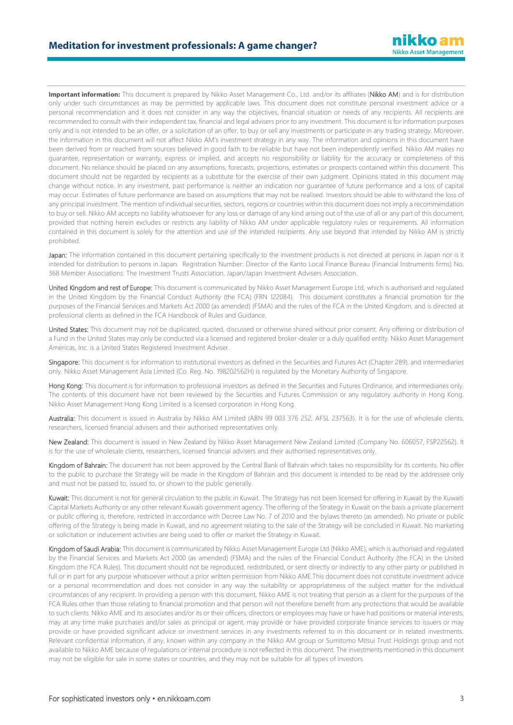Important information: This document is prepared by Nikko Asset Management Co., Ltd. and/or its affiliates (Nikko AM) and is for distribution only under such circumstances as may be permitted by applicable laws. This document does not constitute personal investment advice or a personal recommendation and it does not consider in any way the objectives, financial situation or needs of any recipients. All recipients are recommended to consult with their independent tax, financial and legal advisers prior to any investment. This document is for information purposes only and is not intended to be an offer, or a solicitation of an offer, to buy or sell any investments or participate in any trading strategy. Moreover, the information in this document will not affect Nikko AM's investment strategy in any way. The information and opinions in this document have been derived from or reached from sources believed in good faith to be reliable but have not been independently verified. Nikko AM makes no guarantee, representation or warranty, express or implied, and accepts no responsibility or liability for the accuracy or completeness of this document. No reliance should be placed on any assumptions, forecasts, projections, estimates or prospects contained within this document. This document should not be regarded by recipients as a substitute for the exercise of their own judgment. Opinions stated in this document may change without notice. In any investment, past performance is neither an indication nor guarantee of future performance and a loss of capital may occur. Estimates of future performance are based on assumptions that may not be realised. Investors should be able to withstand the loss of any principal investment. The mention of individual securities, sectors, regions or countries within this document does not imply a recommendation to buy or sell. Nikko AM accepts no liability whatsoever for any loss or damage of any kind arising out of the use of all or any part of this document, provided that nothing herein excludes or restricts any liability of Nikko AM under applicable regulatory rules or requirements. All information contained in this document is solely for the attention and use of the intended recipients. Any use beyond that intended by Nikko AM is strictly prohibited.

Japan: The information contained in this document pertaining specifically to the investment products is not directed at persons in Japan nor is it intended for distribution to persons in Japan. Registration Number: Director of the Kanto Local Finance Bureau (Financial Instruments firms) No. 368 Member Associations: The Investment Trusts Association, Japan/Japan Investment Advisers Association.

United Kingdom and rest of Europe: This document is communicated by Nikko Asset Management Europe Ltd, which is authorised and regulated in the United Kingdom by the Financial Conduct Authority (the FCA) (FRN 122084). This document constitutes a financial promotion for the purposes of the Financial Services and Markets Act 2000 (as amended) (FSMA) and the rules of the FCA in the United Kingdom, and is directed at professional clients as defined in the FCA Handbook of Rules and Guidance.

United States: This document may not be duplicated, quoted, discussed or otherwise shared without prior consent. Any offering or distribution of a Fund in the United States may only be conducted via a licensed and registered broker-dealer or a duly qualified entity. Nikko Asset Management Americas, Inc. is a United States Registered Investment Adviser.

Singapore: This document is for information to institutional investors as defined in the Securities and Futures Act (Chapter 289), and intermediaries only. Nikko Asset Management Asia Limited (Co. Reg. No. 198202562H) is regulated by the Monetary Authority of Singapore.

Hong Kong: This document is for information to professional investors as defined in the Securities and Futures Ordinance, and intermediaries only. The contents of this document have not been reviewed by the Securities and Futures Commission or any regulatory authority in Hong Kong. Nikko Asset Management Hong Kong Limited is a licensed corporation in Hong Kong.

Australia: This document is issued in Australia by Nikko AM Limited (ABN 99 003 376 252, AFSL 237563). It is for the use of wholesale clients, researchers, licensed financial advisers and their authorised representatives only.

New Zealand: This document is issued in New Zealand by Nikko Asset Management New Zealand Limited (Company No. 606057, FSP22562). It is for the use of wholesale clients, researchers, licensed financial advisers and their authorised representatives only.

Kingdom of Bahrain: The document has not been approved by the Central Bank of Bahrain which takes no responsibility for its contents. No offer to the public to purchase the Strategy will be made in the Kingdom of Bahrain and this document is intended to be read by the addressee only and must not be passed to, issued to, or shown to the public generally.

Kuwait: This document is not for general circulation to the public in Kuwait. The Strategy has not been licensed for offering in Kuwait by the Kuwaiti Capital Markets Authority or any other relevant Kuwaiti government agency. The offering of the Strategy in Kuwait on the basis a private placement or public offering is, therefore, restricted in accordance with Decree Law No. 7 of 2010 and the bylaws thereto (as amended). No private or public offering of the Strategy is being made in Kuwait, and no agreement relating to the sale of the Strategy will be concluded in Kuwait. No marketing or solicitation or inducement activities are being used to offer or market the Strategy in Kuwait.

Kingdom of Saudi Arabia: This document is communicated by Nikko Asset Management Europe Ltd (Nikko AME), which is authorised and regulated by the Financial Services and Markets Act 2000 (as amended) (FSMA) and the rules of the Financial Conduct Authority (the FCA) in the United Kingdom (the FCA Rules). This document should not be reproduced, redistributed, or sent directly or indirectly to any other party or published in full or in part for any purpose whatsoever without a prior written permission from Nikko AME.This document does not constitute investment advice or a personal recommendation and does not consider in any way the suitability or appropriateness of the subject matter for the individual circumstances of any recipient. In providing a person with this document, Nikko AME is not treating that person as a client for the purposes of the FCA Rules other than those relating to financial promotion and that person will not therefore benefit from any protections that would be available to such clients. Nikko AME and its associates and/or its or their officers, directors or employees may have or have had positions or material interests, may at any time make purchases and/or sales as principal or agent, may provide or have provided corporate finance services to issuers or may provide or have provided significant advice or investment services in any investments referred to in this document or in related investments. Relevant confidential information, if any, known within any company in the Nikko AM group or Sumitomo Mitsui Trust Holdings group and not available to Nikko AME because of regulations or internal procedure is not reflected in this document. The investments mentioned in this document may not be eligible for sale in some states or countries, and they may not be suitable for all types of investors.